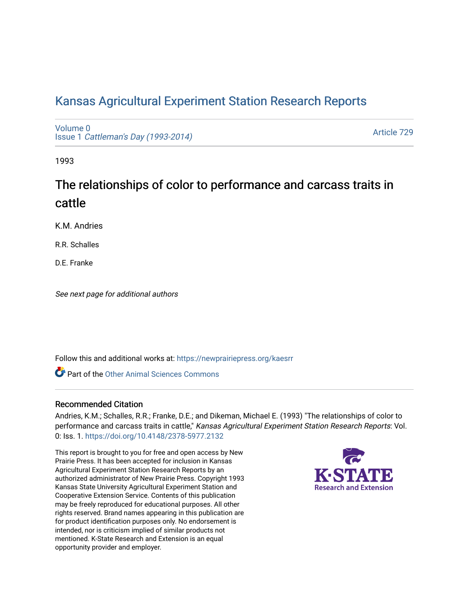# [Kansas Agricultural Experiment Station Research Reports](https://newprairiepress.org/kaesrr)

[Volume 0](https://newprairiepress.org/kaesrr/vol0) Issue 1 [Cattleman's Day \(1993-2014\)](https://newprairiepress.org/kaesrr/vol0/iss1) 

[Article 729](https://newprairiepress.org/kaesrr/vol0/iss1/729) 

1993

# The relationships of color to performance and carcass traits in cattle

K.M. Andries

R.R. Schalles

D.E. Franke

See next page for additional authors

Follow this and additional works at: [https://newprairiepress.org/kaesrr](https://newprairiepress.org/kaesrr?utm_source=newprairiepress.org%2Fkaesrr%2Fvol0%2Fiss1%2F729&utm_medium=PDF&utm_campaign=PDFCoverPages) 

**C** Part of the [Other Animal Sciences Commons](http://network.bepress.com/hgg/discipline/82?utm_source=newprairiepress.org%2Fkaesrr%2Fvol0%2Fiss1%2F729&utm_medium=PDF&utm_campaign=PDFCoverPages)

#### Recommended Citation

Andries, K.M.; Schalles, R.R.; Franke, D.E.; and Dikeman, Michael E. (1993) "The relationships of color to performance and carcass traits in cattle," Kansas Agricultural Experiment Station Research Reports: Vol. 0: Iss. 1.<https://doi.org/10.4148/2378-5977.2132>

This report is brought to you for free and open access by New Prairie Press. It has been accepted for inclusion in Kansas Agricultural Experiment Station Research Reports by an authorized administrator of New Prairie Press. Copyright 1993 Kansas State University Agricultural Experiment Station and Cooperative Extension Service. Contents of this publication may be freely reproduced for educational purposes. All other rights reserved. Brand names appearing in this publication are for product identification purposes only. No endorsement is intended, nor is criticism implied of similar products not mentioned. K-State Research and Extension is an equal opportunity provider and employer.

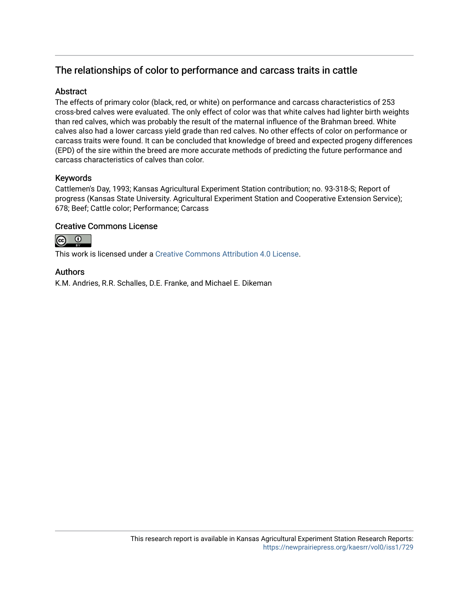# The relationships of color to performance and carcass traits in cattle

# **Abstract**

The effects of primary color (black, red, or white) on performance and carcass characteristics of 253 cross-bred calves were evaluated. The only effect of color was that white calves had lighter birth weights than red calves, which was probably the result of the maternal influence of the Brahman breed. White calves also had a lower carcass yield grade than red calves. No other effects of color on performance or carcass traits were found. It can be concluded that knowledge of breed and expected progeny differences (EPD) of the sire within the breed are more accurate methods of predicting the future performance and carcass characteristics of calves than color.

# Keywords

Cattlemen's Day, 1993; Kansas Agricultural Experiment Station contribution; no. 93-318-S; Report of progress (Kansas State University. Agricultural Experiment Station and Cooperative Extension Service); 678; Beef; Cattle color; Performance; Carcass

## Creative Commons License



This work is licensed under a [Creative Commons Attribution 4.0 License](https://creativecommons.org/licenses/by/4.0/).

## Authors

K.M. Andries, R.R. Schalles, D.E. Franke, and Michael E. Dikeman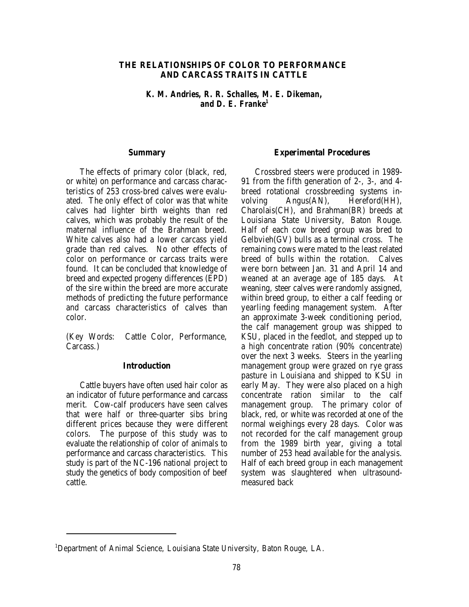#### **THE RELATIONSHIPS OF COLOR TO PERFORMANCE AND CARCASS TRAITS IN CATTLE**

*K. M. Andries, R. R. Schalles, M. E. Dikeman, and D. E. Franke1*

#### **Summary**

The effects of primary color (black, red, or white) on performance and carcass characteristics of 253 cross-bred calves were evaluated. The only effect of color was that white calves had lighter birth weights than red calves, which was probably the result of the maternal influence of the Brahman breed. White calves also had a lower carcass yield grade than red calves. No other effects of color on performance or carcass traits were found. It can be concluded that knowledge of breed and expected progeny differences (EPD) of the sire within the breed are more accurate methods of predicting the future performance and carcass characteristics of calves than color.

(Key Words: Cattle Color, Performance, Carcass.)

#### **Introduction**

Cattle buyers have often used hair color as an indicator of future performance and carcass merit. Cow-calf producers have seen calves that were half or three-quarter sibs bring different prices because they were different colors. The purpose of this study was to evaluate the relationship of color of animals to performance and carcass characteristics. This study is part of the NC-196 national project to study the genetics of body composition of beef cattle.

#### **Experimental Procedures**

Crossbred steers were produced in 1989- 91 from the fifth generation of 2-, 3-, and 4 breed rotational crossbreeding systems involving Angus(AN), Hereford(HH), Charolais(CH), and Brahman(BR) breeds at Louisiana State University, Baton Rouge. Half of each cow breed group was bred to Gelbvieh(GV) bulls as a terminal cross. The remaining cows were mated to the least related breed of bulls within the rotation. Calves were born between Jan. 31 and April 14 and weaned at an average age of 185 days. At weaning, steer calves were randomly assigned, within breed group, to either a calf feeding or yearling feeding management system. After an approximate 3-week conditioning period, the calf management group was shipped to KSU, placed in the feedlot, and stepped up to a high concentrate ration (90% concentrate) over the next 3 weeks. Steers in the yearling management group were grazed on rye grass pasture in Louisiana and shipped to KSU in early May. They were also placed on a high concentrate ration similar to the calf management group. The primary color of black, red, or white was recorded at one of the normal weighings every 28 days. Color was not recorded for the calf management group from the 1989 birth year, giving a total number of 253 head available for the analysis. Half of each breed group in each management system was slaughtered when ultrasoundmeasured back

<sup>&</sup>lt;sup>1</sup>Department of Animal Science, Louisiana State University, Baton Rouge, LA.